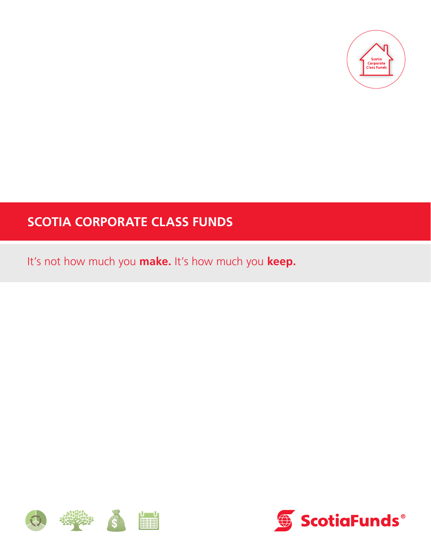

# **SCOTIA CORPORATE CLASS FUNDS**

It's not how much you **make.** It's how much you **keep.**



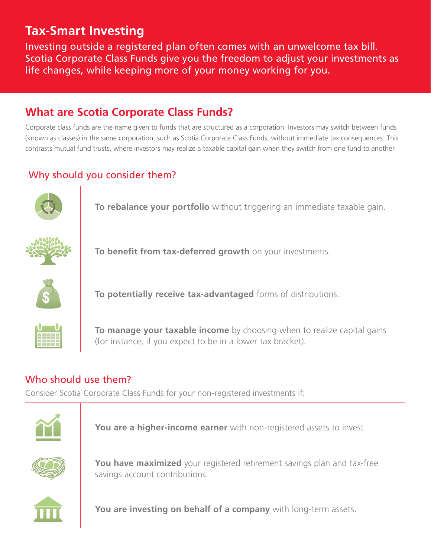## **Tax-Smart Investing**

Investing outside a registered plan often comes with an unwelcome tax bill. Scotia Corporate Class Funds give you the freedom to adjust your investments as life changes, while keeping more of your money working for you.

### **What are Scotia Corporate Class Funds?**

Corporate class funds are the name given to funds that are structured as a corporation. Investors may switch between funds (known as classes) in the same corporation, such as Scotia Corporate Class Funds, without immediate tax consequences. This contrasts mutual fund trusts, where investors may realize a taxable capital gain when they switch from one fund to another.

#### Why should you consider them?



**To rebalance your portfolio** without triggering an immediate taxable gain.



**To benefit from tax-deferred growth** on your investments.



**To potentially receive tax-advantaged** forms of distributions.



**To manage your taxable income** by choosing when to realize capital gains (for instance, if you expect to be in a lower tax bracket).

#### Who should use them?

Consider Scotia Corporate Class Funds for your non-registered investments if:



**You are a higher-income earner** with non-registered assets to invest.



**You have maximized** your registered retirement savings plan and tax-free savings account contributions.



**You are investing on behalf of a company** with long-term assets.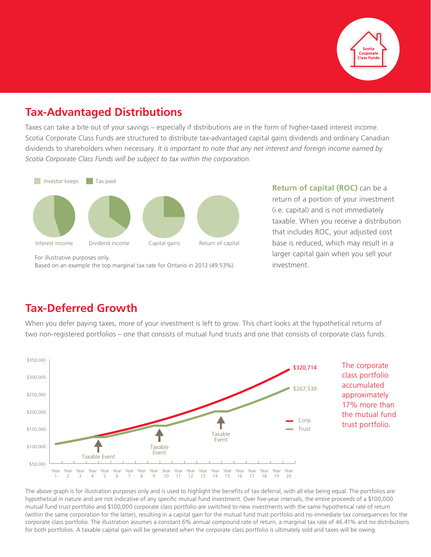

### **Tax-Advantaged Distributions**

Taxes can take a bite out of your savings – especially if distributions are in the form of higher-taxed interest income. Scotia Corporate Class Funds are structured to distribute tax-advantaged capital gains dividends and ordinary Canadian dividends to shareholders when necessary. *It is important to note that any net interest and foreign income earned by Scotia Corporate Class Funds will be subject to tax within the corporation.*



For illustrative purposes only. Based on an example the top marginal tax rate for Ontario in 2013 (49.53%). **Return of capital (ROC)** can be a return of a portion of your investment (i.e. capital) and is not immediately taxable. When you receive a distribution that includes ROC, your adjusted cost base is reduced, which may result in a larger capital gain when you sell your investment.

#### **Tax-Deferred Growth**

When you defer paying taxes, more of your investment is left to grow. This chart looks at the hypothetical returns of two non-registered portfolios – one that consists of mutual fund trusts and one that consists of corporate class funds.



The above graph is for illustration purposes only and is used to highlight the benefits of tax deferral, with all else being equal. The portfolios are hypothetical in nature and are not indicative of any specific mutual fund investment. Over five-year intervals, the entire proceeds of a \$100,000 mutual fund trust portfolio and \$100,000 corporate class portfolio are switched to new investments with the same hypothetical rate of return (within the same corporation for the latter), resulting in a capital gain for the mutual fund trust portfolio and no immediate tax consequences for the corporate class portfolio. The illustration assumes a constant 6% annual compound rate of return, a marginal tax rate of 46.41% and no distributions for both portfolios. A taxable capital gain will be generated when the corporate class portfolio is ultimately sold and taxes will be owing.